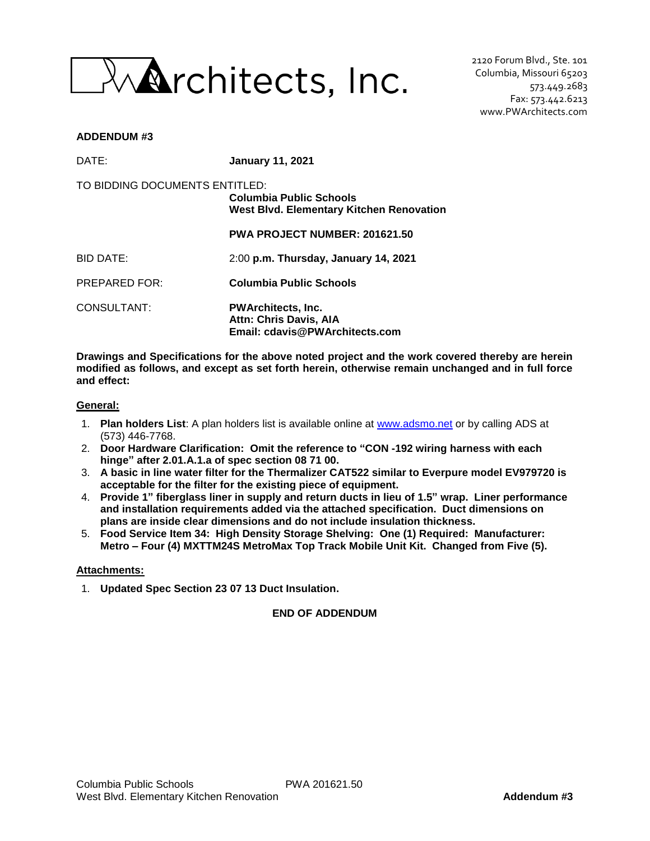

2120 Forum Blvd., Ste. 101 Columbia, Missouri 65203 573.449.2683 Fax: 573.442.6213 www.PWArchitects.com

#### **ADDENDUM #3**

| DATE:                          | <b>January 11, 2021</b>                                                               |
|--------------------------------|---------------------------------------------------------------------------------------|
| TO BIDDING DOCUMENTS ENTITLED: | Columbia Public Schools<br>West Blvd. Elementary Kitchen Renovation                   |
|                                | <b>PWA PROJECT NUMBER: 201621.50</b>                                                  |
| BID DATE:                      | 2:00 p.m. Thursday, January 14, 2021                                                  |
| <b>PREPARED FOR:</b>           | Columbia Public Schools                                                               |
| CONSULTANT:                    | <b>PWArchitects, Inc.</b><br>Attn: Chris Davis, AIA<br>Email: cdavis@PWArchitects.com |

**Drawings and Specifications for the above noted project and the work covered thereby are herein modified as follows, and except as set forth herein, otherwise remain unchanged and in full force and effect:**

#### **General:**

- 1. **Plan holders List**: A plan holders list is available online at [www.adsmo.net](http://www.adsmo.net/) or by calling ADS at (573) 446-7768.
- 2. **Door Hardware Clarification: Omit the reference to "CON -192 wiring harness with each hinge" after 2.01.A.1.a of spec section 08 71 00.**
- 3. **A basic in line water filter for the Thermalizer CAT522 similar to Everpure model EV979720 is acceptable for the filter for the existing piece of equipment.**
- 4. **Provide 1" fiberglass liner in supply and return ducts in lieu of 1.5" wrap. Liner performance and installation requirements added via the attached specification. Duct dimensions on plans are inside clear dimensions and do not include insulation thickness.**
- 5. **Food Service Item 34: High Density Storage Shelving: One (1) Required: Manufacturer: Metro – Four (4) MXTTM24S MetroMax Top Track Mobile Unit Kit. Changed from Five (5).**

#### **Attachments:**

1. **Updated Spec Section 23 07 13 Duct Insulation.**

### **END OF ADDENDUM**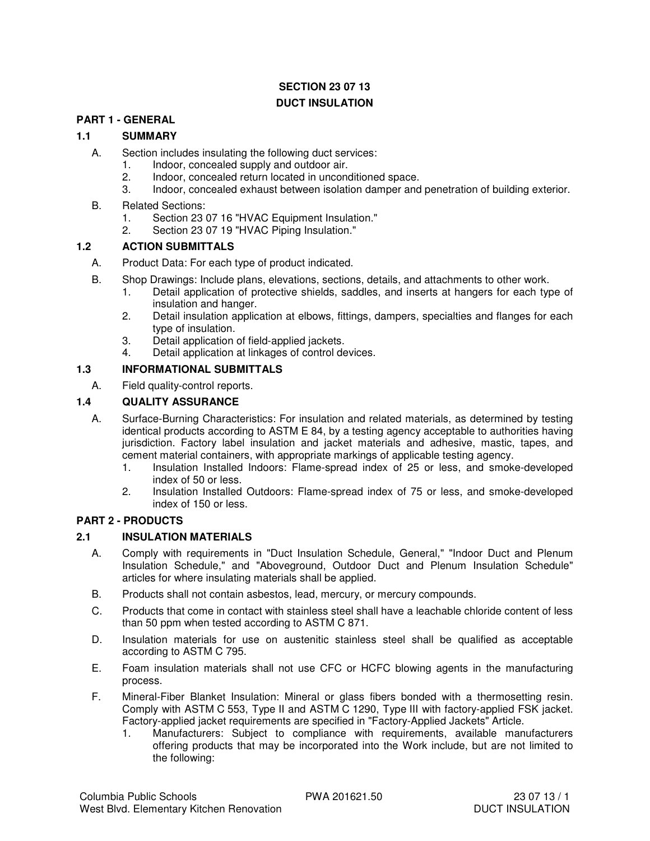# **SECTION 23 07 13 DUCT INSULATION**

# **PART 1 - GENERAL**

### **1.1 SUMMARY**

- A. Section includes insulating the following duct services:
	- 1. Indoor, concealed supply and outdoor air.
	- 2. Indoor, concealed return located in unconditioned space.<br>3. Indoor, concealed exhaust between isolation damper and
	- 3. Indoor, concealed exhaust between isolation damper and penetration of building exterior.
- B. Related Sections:
	- 1. Section 23 07 16 "HVAC Equipment Insulation."
	- 2. Section 23 07 19 "HVAC Piping Insulation."

# **1.2 ACTION SUBMITTALS**

- A. Product Data: For each type of product indicated.
- B. Shop Drawings: Include plans, elevations, sections, details, and attachments to other work.
	- 1. Detail application of protective shields, saddles, and inserts at hangers for each type of insulation and hanger.
	- 2. Detail insulation application at elbows, fittings, dampers, specialties and flanges for each type of insulation.
	- 3. Detail application of field-applied jackets.
	- 4. Detail application at linkages of control devices.

# **1.3 INFORMATIONAL SUBMITTALS**

A. Field quality-control reports.

# **1.4 QUALITY ASSURANCE**

- A. Surface-Burning Characteristics: For insulation and related materials, as determined by testing identical products according to ASTM E 84, by a testing agency acceptable to authorities having jurisdiction. Factory label insulation and jacket materials and adhesive, mastic, tapes, and cement material containers, with appropriate markings of applicable testing agency.
	- 1. Insulation Installed Indoors: Flame-spread index of 25 or less, and smoke-developed index of 50 or less.
	- 2. Insulation Installed Outdoors: Flame-spread index of 75 or less, and smoke-developed index of 150 or less.

### **PART 2 - PRODUCTS**

### **2.1 INSULATION MATERIALS**

- A. Comply with requirements in "Duct Insulation Schedule, General," "Indoor Duct and Plenum Insulation Schedule," and "Aboveground, Outdoor Duct and Plenum Insulation Schedule" articles for where insulating materials shall be applied.
- B. Products shall not contain asbestos, lead, mercury, or mercury compounds.
- C. Products that come in contact with stainless steel shall have a leachable chloride content of less than 50 ppm when tested according to ASTM C 871.
- D. Insulation materials for use on austenitic stainless steel shall be qualified as acceptable according to ASTM C 795.
- E. Foam insulation materials shall not use CFC or HCFC blowing agents in the manufacturing process.
- F. Mineral-Fiber Blanket Insulation: Mineral or glass fibers bonded with a thermosetting resin. Comply with ASTM C 553, Type II and ASTM C 1290, Type III with factory-applied FSK jacket. Factory-applied jacket requirements are specified in "Factory-Applied Jackets" Article.
	- 1. Manufacturers: Subject to compliance with requirements, available manufacturers offering products that may be incorporated into the Work include, but are not limited to the following: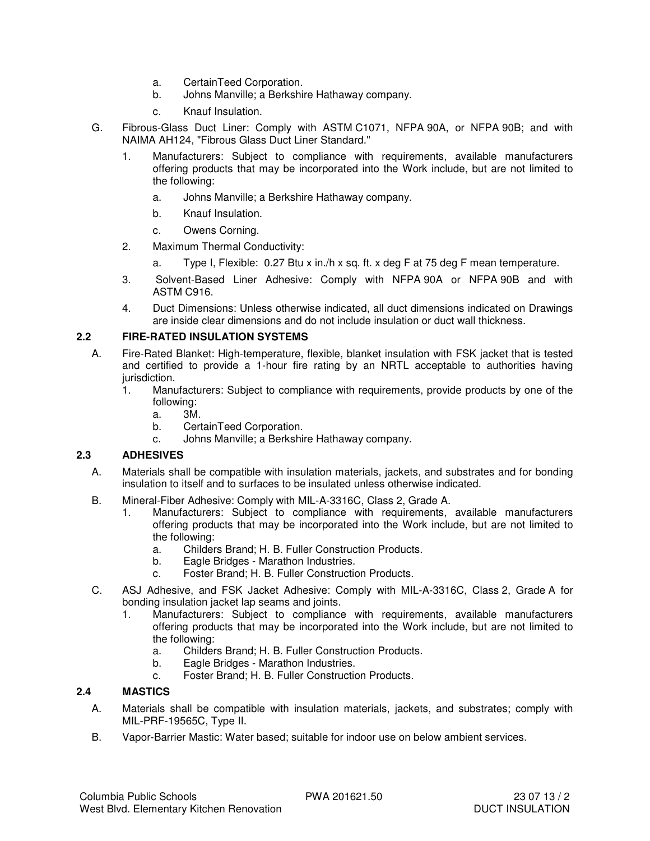- a. CertainTeed Corporation.
- b. Johns Manville; a Berkshire Hathaway company.
- c. Knauf Insulation.
- G. Fibrous-Glass Duct Liner: Comply with ASTM C1071, NFPA 90A, or NFPA 90B; and with NAIMA AH124, "Fibrous Glass Duct Liner Standard."
	- 1. Manufacturers: Subject to compliance with requirements, available manufacturers offering products that may be incorporated into the Work include, but are not limited to the following:
		- a. Johns Manville; a Berkshire Hathaway company.
		- b. Knauf Insulation.
		- c. Owens Corning.
	- 2. Maximum Thermal Conductivity:
		- Type I, Flexible: 0.27 Btu x in./h x sq. ft. x deg F at 75 deg F mean temperature.
	- 3. Solvent-Based Liner Adhesive: Comply with NFPA 90A or NFPA 90B and with ASTM C916.
	- 4. Duct Dimensions: Unless otherwise indicated, all duct dimensions indicated on Drawings are inside clear dimensions and do not include insulation or duct wall thickness.

### **2.2 FIRE-RATED INSULATION SYSTEMS**

- A. Fire-Rated Blanket: High-temperature, flexible, blanket insulation with FSK jacket that is tested and certified to provide a 1-hour fire rating by an NRTL acceptable to authorities having jurisdiction.
	- 1. Manufacturers: Subject to compliance with requirements, provide products by one of the following:
		- a. 3M.
		- b. CertainTeed Corporation.
		- c. Johns Manville; a Berkshire Hathaway company.

### **2.3 ADHESIVES**

- A. Materials shall be compatible with insulation materials, jackets, and substrates and for bonding insulation to itself and to surfaces to be insulated unless otherwise indicated.
- B. Mineral-Fiber Adhesive: Comply with MIL-A-3316C, Class 2, Grade A.
	- 1. Manufacturers: Subject to compliance with requirements, available manufacturers offering products that may be incorporated into the Work include, but are not limited to the following:
		- a. Childers Brand; H. B. Fuller Construction Products.
		- b. Eagle Bridges Marathon Industries.
		- c. Foster Brand; H. B. Fuller Construction Products.
- C. ASJ Adhesive, and FSK Jacket Adhesive: Comply with MIL-A-3316C, Class 2, Grade A for bonding insulation jacket lap seams and joints.
	- 1. Manufacturers: Subject to compliance with requirements, available manufacturers offering products that may be incorporated into the Work include, but are not limited to the following:
		- a. Childers Brand; H. B. Fuller Construction Products.
		- b. Eagle Bridges Marathon Industries.
		- c. Foster Brand; H. B. Fuller Construction Products.

# **2.4 MASTICS**

- A. Materials shall be compatible with insulation materials, jackets, and substrates; comply with MIL-PRF-19565C, Type II.
- B. Vapor-Barrier Mastic: Water based; suitable for indoor use on below ambient services.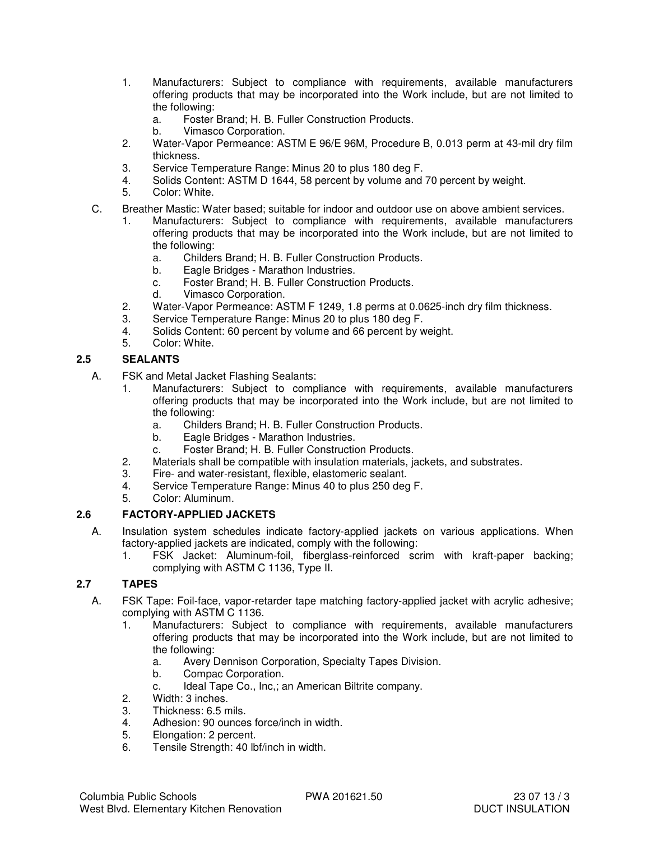- 1. Manufacturers: Subject to compliance with requirements, available manufacturers offering products that may be incorporated into the Work include, but are not limited to the following:
	- a. Foster Brand; H. B. Fuller Construction Products.
	- b. Vimasco Corporation.
- 2. Water-Vapor Permeance: ASTM E 96/E 96M, Procedure B, 0.013 perm at 43-mil dry film thickness.
- 3. Service Temperature Range: Minus 20 to plus 180 deg F.
- 4. Solids Content: ASTM D 1644, 58 percent by volume and 70 percent by weight.
- Color: White.
- C. Breather Mastic: Water based; suitable for indoor and outdoor use on above ambient services.
	- 1. Manufacturers: Subject to compliance with requirements, available manufacturers offering products that may be incorporated into the Work include, but are not limited to the following:
		- a. Childers Brand; H. B. Fuller Construction Products.
		- b. Eagle Bridges Marathon Industries.
		- c. Foster Brand; H. B. Fuller Construction Products.
		- d. Vimasco Corporation.
	- 2. Water-Vapor Permeance: ASTM F 1249, 1.8 perms at 0.0625-inch dry film thickness.
	- 3. Service Temperature Range: Minus 20 to plus 180 deg F.
	- 4. Solids Content: 60 percent by volume and 66 percent by weight.
	- 5. Color: White.

# **2.5 SEALANTS**

- A. FSK and Metal Jacket Flashing Sealants:
	- 1. Manufacturers: Subject to compliance with requirements, available manufacturers offering products that may be incorporated into the Work include, but are not limited to the following:
		- a. Childers Brand; H. B. Fuller Construction Products.
		- b. Eagle Bridges Marathon Industries.
		- c. Foster Brand; H. B. Fuller Construction Products.
	- 2. Materials shall be compatible with insulation materials, jackets, and substrates.
	- 3. Fire- and water-resistant, flexible, elastomeric sealant.
	- 4. Service Temperature Range: Minus 40 to plus 250 deg F.
	- 5. Color: Aluminum.

# **2.6 FACTORY-APPLIED JACKETS**

- A. Insulation system schedules indicate factory-applied jackets on various applications. When factory-applied jackets are indicated, comply with the following:
	- 1. FSK Jacket: Aluminum-foil, fiberglass-reinforced scrim with kraft-paper backing; complying with ASTM C 1136, Type II.

# **2.7 TAPES**

- A. FSK Tape: Foil-face, vapor-retarder tape matching factory-applied jacket with acrylic adhesive; complying with ASTM C 1136.
	- 1. Manufacturers: Subject to compliance with requirements, available manufacturers offering products that may be incorporated into the Work include, but are not limited to the following:
		- a. Avery Dennison Corporation, Specialty Tapes Division.
		- b. Compac Corporation.
		- c. Ideal Tape Co., Inc,; an American Biltrite company.
	- 2. Width: 3 inches.
	- 3. Thickness: 6.5 mils.
	- 4. Adhesion: 90 ounces force/inch in width.
	- 5. Elongation: 2 percent.
	- 6. Tensile Strength: 40 lbf/inch in width.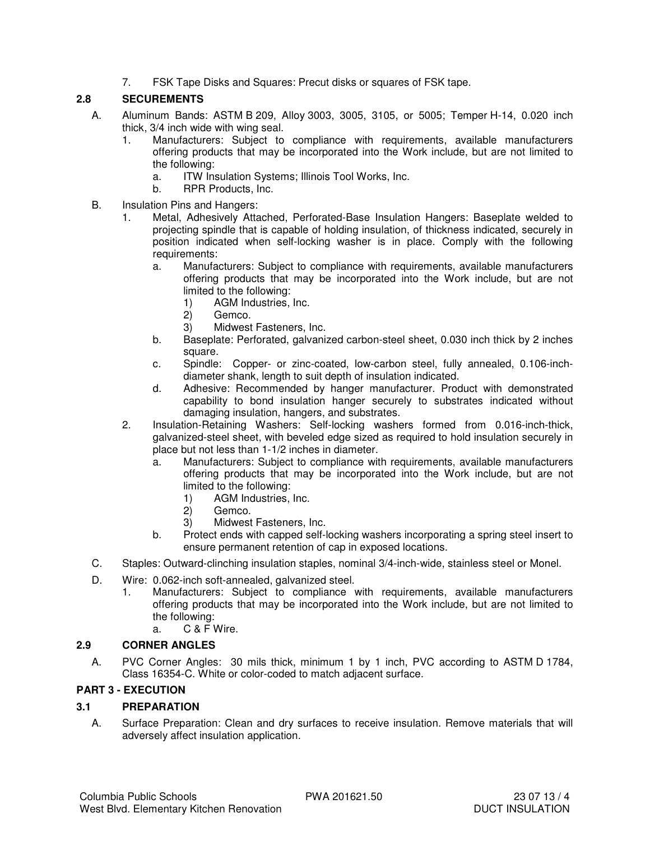7. FSK Tape Disks and Squares: Precut disks or squares of FSK tape.

# **2.8 SECUREMENTS**

- A. Aluminum Bands: ASTM B 209, Alloy 3003, 3005, 3105, or 5005; Temper H-14, 0.020 inch thick, 3/4 inch wide with wing seal.
	- 1. Manufacturers: Subject to compliance with requirements, available manufacturers offering products that may be incorporated into the Work include, but are not limited to the following:
		- a. ITW Insulation Systems; Illinois Tool Works, Inc.
		- b. RPR Products, Inc.
- B. Insulation Pins and Hangers:
	- 1. Metal, Adhesively Attached, Perforated-Base Insulation Hangers: Baseplate welded to projecting spindle that is capable of holding insulation, of thickness indicated, securely in position indicated when self-locking washer is in place. Comply with the following requirements:
		- a. Manufacturers: Subject to compliance with requirements, available manufacturers offering products that may be incorporated into the Work include, but are not limited to the following:
			- 1) AGM Industries, Inc.<br>2) Gemco.
				- 2) Gemco.
			- 3) Midwest Fasteners, Inc.
		- b. Baseplate: Perforated, galvanized carbon-steel sheet, 0.030 inch thick by 2 inches square.
		- c. Spindle: Copper- or zinc-coated, low-carbon steel, fully annealed, 0.106-inchdiameter shank, length to suit depth of insulation indicated.
		- d. Adhesive: Recommended by hanger manufacturer. Product with demonstrated capability to bond insulation hanger securely to substrates indicated without damaging insulation, hangers, and substrates.
	- 2. Insulation-Retaining Washers: Self-locking washers formed from 0.016-inch-thick, galvanized-steel sheet, with beveled edge sized as required to hold insulation securely in place but not less than 1-1/2 inches in diameter.
		- a. Manufacturers: Subject to compliance with requirements, available manufacturers offering products that may be incorporated into the Work include, but are not limited to the following:
			- 1) AGM Industries, Inc.
			- 2) Gemco.
			- 3) Midwest Fasteners, Inc.
		- b. Protect ends with capped self-locking washers incorporating a spring steel insert to ensure permanent retention of cap in exposed locations.
- C. Staples: Outward-clinching insulation staples, nominal 3/4-inch-wide, stainless steel or Monel.
- D. Wire: 0.062-inch soft-annealed, galvanized steel.
	- 1. Manufacturers: Subject to compliance with requirements, available manufacturers offering products that may be incorporated into the Work include, but are not limited to the following:

# a. C & F Wire.

### **2.9 CORNER ANGLES**

A. PVC Corner Angles: 30 mils thick, minimum 1 by 1 inch, PVC according to ASTM D 1784, Class 16354-C. White or color-coded to match adjacent surface.

### **PART 3 - EXECUTION**

# **3.1 PREPARATION**

A. Surface Preparation: Clean and dry surfaces to receive insulation. Remove materials that will adversely affect insulation application.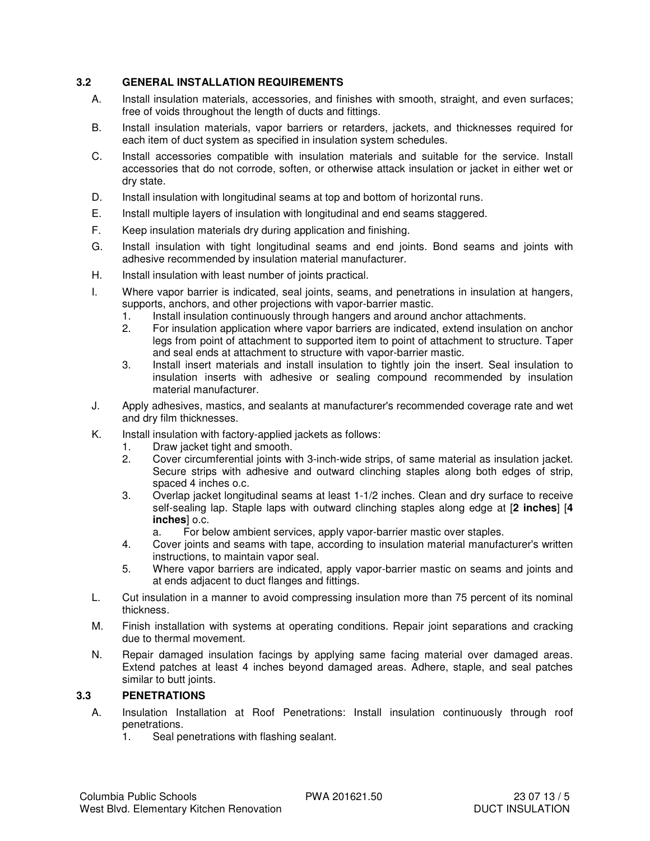# **3.2 GENERAL INSTALLATION REQUIREMENTS**

- A. Install insulation materials, accessories, and finishes with smooth, straight, and even surfaces; free of voids throughout the length of ducts and fittings.
- B. Install insulation materials, vapor barriers or retarders, jackets, and thicknesses required for each item of duct system as specified in insulation system schedules.
- C. Install accessories compatible with insulation materials and suitable for the service. Install accessories that do not corrode, soften, or otherwise attack insulation or jacket in either wet or dry state.
- D. Install insulation with longitudinal seams at top and bottom of horizontal runs.
- E. Install multiple layers of insulation with longitudinal and end seams staggered.
- F. Keep insulation materials dry during application and finishing.
- G. Install insulation with tight longitudinal seams and end joints. Bond seams and joints with adhesive recommended by insulation material manufacturer.
- H. Install insulation with least number of joints practical.
- I. Where vapor barrier is indicated, seal joints, seams, and penetrations in insulation at hangers, supports, anchors, and other projections with vapor-barrier mastic.
	- 1. Install insulation continuously through hangers and around anchor attachments.
	- 2. For insulation application where vapor barriers are indicated, extend insulation on anchor legs from point of attachment to supported item to point of attachment to structure. Taper and seal ends at attachment to structure with vapor-barrier mastic.
	- 3. Install insert materials and install insulation to tightly join the insert. Seal insulation to insulation inserts with adhesive or sealing compound recommended by insulation material manufacturer.
- J. Apply adhesives, mastics, and sealants at manufacturer's recommended coverage rate and wet and dry film thicknesses.
- K. Install insulation with factory-applied jackets as follows:
	- 1. Draw jacket tight and smooth.
	- 2. Cover circumferential joints with 3-inch-wide strips, of same material as insulation jacket. Secure strips with adhesive and outward clinching staples along both edges of strip, spaced 4 inches o.c.
	- 3. Overlap jacket longitudinal seams at least 1-1/2 inches. Clean and dry surface to receive self-sealing lap. Staple laps with outward clinching staples along edge at [**2 inches**] [**4 inches**] o.c.
		- a. For below ambient services, apply vapor-barrier mastic over staples.
	- 4. Cover joints and seams with tape, according to insulation material manufacturer's written instructions, to maintain vapor seal.
	- 5. Where vapor barriers are indicated, apply vapor-barrier mastic on seams and joints and at ends adjacent to duct flanges and fittings.
- L. Cut insulation in a manner to avoid compressing insulation more than 75 percent of its nominal thickness.
- M. Finish installation with systems at operating conditions. Repair joint separations and cracking due to thermal movement.
- N. Repair damaged insulation facings by applying same facing material over damaged areas. Extend patches at least 4 inches beyond damaged areas. Adhere, staple, and seal patches similar to butt joints.

### **3.3 PENETRATIONS**

- A. Insulation Installation at Roof Penetrations: Install insulation continuously through roof penetrations.
	- 1. Seal penetrations with flashing sealant.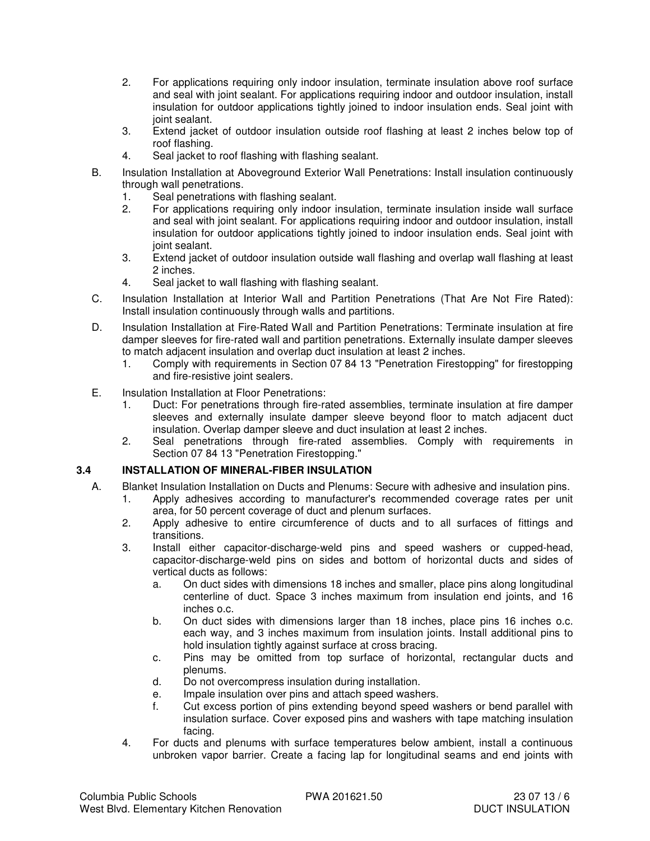- 2. For applications requiring only indoor insulation, terminate insulation above roof surface and seal with joint sealant. For applications requiring indoor and outdoor insulation, install insulation for outdoor applications tightly joined to indoor insulation ends. Seal joint with ioint sealant.
- 3. Extend jacket of outdoor insulation outside roof flashing at least 2 inches below top of roof flashing.
- 4. Seal jacket to roof flashing with flashing sealant.
- B. Insulation Installation at Aboveground Exterior Wall Penetrations: Install insulation continuously through wall penetrations.
	- 1. Seal penetrations with flashing sealant.
	- 2. For applications requiring only indoor insulation, terminate insulation inside wall surface and seal with joint sealant. For applications requiring indoor and outdoor insulation, install insulation for outdoor applications tightly joined to indoor insulation ends. Seal joint with joint sealant.
	- 3. Extend jacket of outdoor insulation outside wall flashing and overlap wall flashing at least 2 inches.
	- 4. Seal jacket to wall flashing with flashing sealant.
- C. Insulation Installation at Interior Wall and Partition Penetrations (That Are Not Fire Rated): Install insulation continuously through walls and partitions.
- D. Insulation Installation at Fire-Rated Wall and Partition Penetrations: Terminate insulation at fire damper sleeves for fire-rated wall and partition penetrations. Externally insulate damper sleeves to match adjacent insulation and overlap duct insulation at least 2 inches.
	- 1. Comply with requirements in Section 07 84 13 "Penetration Firestopping" for firestopping and fire-resistive joint sealers.
- E. Insulation Installation at Floor Penetrations:
	- 1. Duct: For penetrations through fire-rated assemblies, terminate insulation at fire damper sleeves and externally insulate damper sleeve beyond floor to match adjacent duct insulation. Overlap damper sleeve and duct insulation at least 2 inches.
	- 2. Seal penetrations through fire-rated assemblies. Comply with requirements in Section 07 84 13 "Penetration Firestopping."

### **3.4 INSTALLATION OF MINERAL-FIBER INSULATION**

- A. Blanket Insulation Installation on Ducts and Plenums: Secure with adhesive and insulation pins.
	- 1. Apply adhesives according to manufacturer's recommended coverage rates per unit area, for 50 percent coverage of duct and plenum surfaces.
	- 2. Apply adhesive to entire circumference of ducts and to all surfaces of fittings and transitions.
	- 3. Install either capacitor-discharge-weld pins and speed washers or cupped-head, capacitor-discharge-weld pins on sides and bottom of horizontal ducts and sides of vertical ducts as follows:
		- a. On duct sides with dimensions 18 inches and smaller, place pins along longitudinal centerline of duct. Space 3 inches maximum from insulation end joints, and 16 inches o.c.
		- b. On duct sides with dimensions larger than 18 inches, place pins 16 inches o.c. each way, and 3 inches maximum from insulation joints. Install additional pins to hold insulation tightly against surface at cross bracing.
		- c. Pins may be omitted from top surface of horizontal, rectangular ducts and plenums.
		- d. Do not overcompress insulation during installation.
		- e. Impale insulation over pins and attach speed washers.
		- f. Cut excess portion of pins extending beyond speed washers or bend parallel with insulation surface. Cover exposed pins and washers with tape matching insulation facing.
	- 4. For ducts and plenums with surface temperatures below ambient, install a continuous unbroken vapor barrier. Create a facing lap for longitudinal seams and end joints with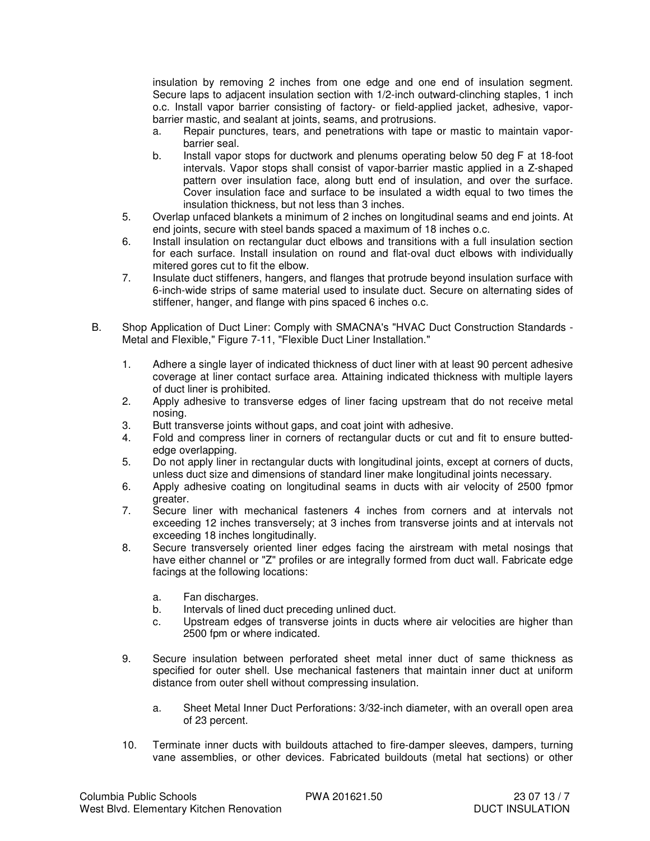insulation by removing 2 inches from one edge and one end of insulation segment. Secure laps to adjacent insulation section with 1/2-inch outward-clinching staples, 1 inch o.c. Install vapor barrier consisting of factory- or field-applied jacket, adhesive, vaporbarrier mastic, and sealant at joints, seams, and protrusions.

- a. Repair punctures, tears, and penetrations with tape or mastic to maintain vaporbarrier seal.
- b. Install vapor stops for ductwork and plenums operating below 50 deg F at 18-foot intervals. Vapor stops shall consist of vapor-barrier mastic applied in a Z-shaped pattern over insulation face, along butt end of insulation, and over the surface. Cover insulation face and surface to be insulated a width equal to two times the insulation thickness, but not less than 3 inches.
- 5. Overlap unfaced blankets a minimum of 2 inches on longitudinal seams and end joints. At end joints, secure with steel bands spaced a maximum of 18 inches o.c.
- 6. Install insulation on rectangular duct elbows and transitions with a full insulation section for each surface. Install insulation on round and flat-oval duct elbows with individually mitered gores cut to fit the elbow.
- 7. Insulate duct stiffeners, hangers, and flanges that protrude beyond insulation surface with 6-inch-wide strips of same material used to insulate duct. Secure on alternating sides of stiffener, hanger, and flange with pins spaced 6 inches o.c.
- B. Shop Application of Duct Liner: Comply with SMACNA's "HVAC Duct Construction Standards Metal and Flexible," Figure 7-11, "Flexible Duct Liner Installation."
	- 1. Adhere a single layer of indicated thickness of duct liner with at least 90 percent adhesive coverage at liner contact surface area. Attaining indicated thickness with multiple layers of duct liner is prohibited.
	- 2. Apply adhesive to transverse edges of liner facing upstream that do not receive metal nosing.
	- 3. Butt transverse joints without gaps, and coat joint with adhesive.
	- 4. Fold and compress liner in corners of rectangular ducts or cut and fit to ensure buttededge overlapping.
	- 5. Do not apply liner in rectangular ducts with longitudinal joints, except at corners of ducts, unless duct size and dimensions of standard liner make longitudinal joints necessary.
	- 6. Apply adhesive coating on longitudinal seams in ducts with air velocity of 2500 fpmor greater.
	- 7. Secure liner with mechanical fasteners 4 inches from corners and at intervals not exceeding 12 inches transversely; at 3 inches from transverse joints and at intervals not exceeding 18 inches longitudinally.
	- 8. Secure transversely oriented liner edges facing the airstream with metal nosings that have either channel or "Z" profiles or are integrally formed from duct wall. Fabricate edge facings at the following locations:
		- a. Fan discharges.
		- b. Intervals of lined duct preceding unlined duct.
		- c. Upstream edges of transverse joints in ducts where air velocities are higher than 2500 fpm or where indicated.
	- 9. Secure insulation between perforated sheet metal inner duct of same thickness as specified for outer shell. Use mechanical fasteners that maintain inner duct at uniform distance from outer shell without compressing insulation.
		- a. Sheet Metal Inner Duct Perforations: 3/32-inch diameter, with an overall open area of 23 percent.
	- 10. Terminate inner ducts with buildouts attached to fire-damper sleeves, dampers, turning vane assemblies, or other devices. Fabricated buildouts (metal hat sections) or other